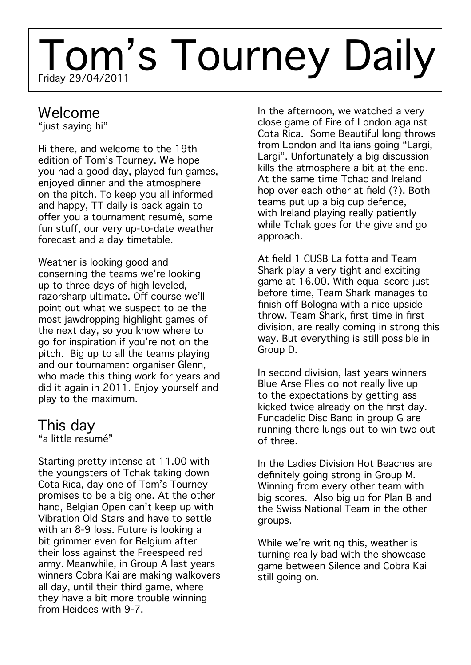# Friday 29/04/2011 Tom's Tourney Daily

### Welcome

"just saying hi"

Hi there, and welcome to the 19th edition of Tom's Tourney. We hope you had a good day, played fun games, enjoyed dinner and the atmosphere on the pitch. To keep you all informed and happy, TT daily is back again to offer you a tournament resumé, some fun stuff, our very up-to-date weather forecast and a day timetable.

Weather is looking good and conserning the teams we're looking up to three days of high leveled, razorsharp ultimate. Off course we'll point out what we suspect to be the most jawdropping highlight games of the next day, so you know where to go for inspiration if you're not on the pitch. Big up to all the teams playing and our tournament organiser Glenn, who made this thing work for years and did it again in 2011. Enjoy yourself and play to the maximum.

## This day

"a little resumé"

Starting pretty intense at 11.00 with the youngsters of Tchak taking down Cota Rica, day one of Tom's Tourney promises to be a big one. At the other hand, Belgian Open can't keep up with Vibration Old Stars and have to settle with an 8-9 loss. Future is looking a bit grimmer even for Belgium after their loss against the Freespeed red army. Meanwhile, in Group A last years winners Cobra Kai are making walkovers all day, until their third game, where they have a bit more trouble winning from Heidees with 9-7.

In the afternoon, we watched a very close game of Fire of London against Cota Rica. Some Beautiful long throws from London and Italians going "Largi, Largi". Unfortunately a big discussion kills the atmosphere a bit at the end. At the same time Tchac and Ireland hop over each other at field (?). Both teams put up a big cup defence, with Ireland playing really patiently while Tchak goes for the give and go approach.

At field 1 CUSB La fotta and Team Shark play a very tight and exciting game at 16.00. With equal score just before time, Team Shark manages to finish off Bologna with a nice upside throw. Team Shark, first time in first division, are really coming in strong this way. But everything is still possible in Group D.

In second division, last years winners Blue Arse Flies do not really live up to the expectations by getting ass kicked twice already on the first day. Funcadelic Disc Band in group G are running there lungs out to win two out of three.

In the Ladies Division Hot Beaches are definitely going strong in Group M. Winning from every other team with big scores. Also big up for Plan B and the Swiss National Team in the other groups.

While we're writing this, weather is turning really bad with the showcase game between Silence and Cobra Kai still going on.